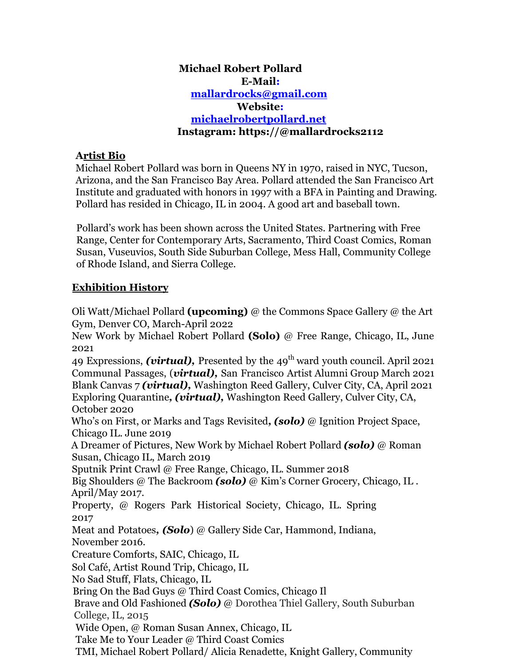### **Michael Robert Pollard E-Mail: mallardrocks@gmail.com Website: michaelrobertpollard.net Instagram: https://@mallardrocks2112**

#### **Artist Bio**

Michael Robert Pollard was born in Queens NY in 1970, raised in NYC, Tucson, Arizona, and the San Francisco Bay Area. Pollard attended the San Francisco Art Institute and graduated with honors in 1997 with a BFA in Painting and Drawing. Pollard has resided in Chicago, IL in 2004. A good art and baseball town.

Pollard's work has been shown across the United States. Partnering with Free Range, Center for Contemporary Arts, Sacramento, Third Coast Comics, Roman Susan, Vuseuvios, South Side Suburban College, Mess Hall, Community College of Rhode Island, and Sierra College.

### **Exhibition History**

Oli Watt/Michael Pollard **(upcoming)** @ the Commons Space Gallery @ the Art Gym, Denver CO, March-April 2022

New Work by Michael Robert Pollard **(Solo)** @ Free Range, Chicago, IL, June 2021

49 Expressions, *(virtual)*, Presented by the 49<sup>th</sup> ward youth council. April 2021 Communal Passages, (*virtual),* San Francisco Artist Alumni Group March 2021 Blank Canvas 7 *(virtual),* Washington Reed Gallery, Culver City, CA, April 2021 Exploring Quarantine*, (virtual),* Washington Reed Gallery, Culver City, CA, October 2020

Who's on First, or Marks and Tags Revisited*, (solo)* @ Ignition Project Space, Chicago IL. June 2019

A Dreamer of Pictures, New Work by Michael Robert Pollard *(solo)* @ Roman Susan, Chicago IL, March 2019

Sputnik Print Crawl @ Free Range, Chicago, IL. Summer 2018

Big Shoulders @ The Backroom *(solo)* @ Kim's Corner Grocery, Chicago, IL . April/May 2017.

Property, @ Rogers Park Historical Society, Chicago, IL. Spring 2017

Meat and Potatoes*, (Solo*) @ Gallery Side Car, Hammond, Indiana, November 2016.

Creature Comforts, SAIC, Chicago, IL

Sol Café, Artist Round Trip, Chicago, IL

No Sad Stuff, Flats, Chicago, IL

Bring On the Bad Guys @ Third Coast Comics, Chicago Il

Brave and Old Fashioned *(Solo)* @ Dorothea Thiel Gallery, South Suburban College, IL, 2015

Wide Open, @ Roman Susan Annex, Chicago, IL

Take Me to Your Leader @ Third Coast Comics

TMI, Michael Robert Pollard/ Alicia Renadette, Knight Gallery, Community